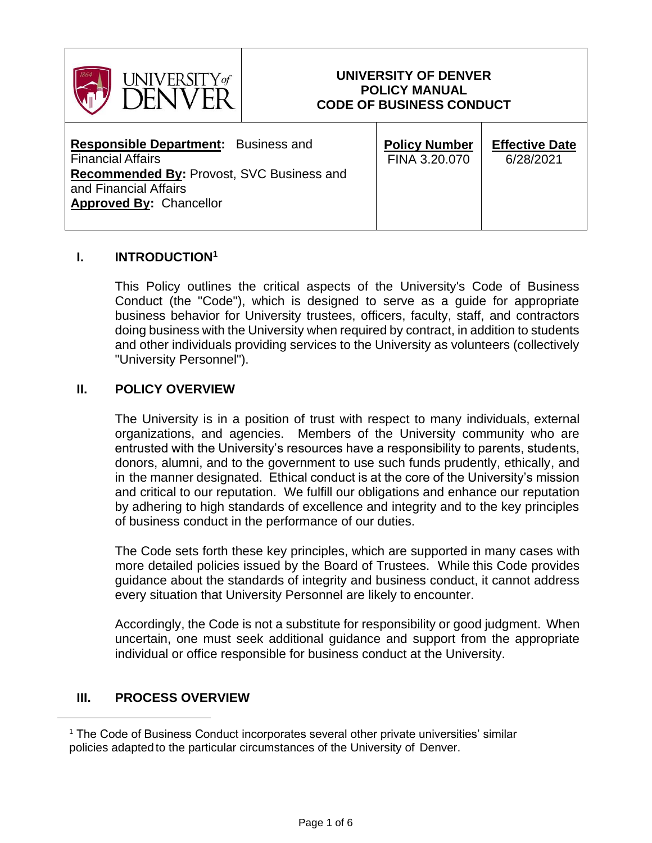

### **UNIVERSITY OF DENVER POLICY MANUAL CODE OF BUSINESS CONDUCT**

| <b>Responsible Department:</b> Business and<br><b>Financial Affairs</b><br><b>Recommended By: Provost, SVC Business and</b><br>and Financial Affairs | <b>Policy Number</b><br>FINA 3.20.070 | <b>Effective Date</b><br>6/28/2021 |
|------------------------------------------------------------------------------------------------------------------------------------------------------|---------------------------------------|------------------------------------|
| <b>Approved By: Chancellor</b>                                                                                                                       |                                       |                                    |
|                                                                                                                                                      |                                       |                                    |

#### **I. INTRODUCTION<sup>1</sup>**

This Policy outlines the critical aspects of the University's Code of Business Conduct (the "Code"), which is designed to serve as a guide for appropriate business behavior for University trustees, officers, faculty, staff, and contractors doing business with the University when required by contract, in addition to students and other individuals providing services to the University as volunteers (collectively "University Personnel").

#### **II. POLICY OVERVIEW**

The University is in a position of trust with respect to many individuals, external organizations, and agencies. Members of the University community who are entrusted with the University's resources have a responsibility to parents, students, donors, alumni, and to the government to use such funds prudently, ethically, and in the manner designated. Ethical conduct is at the core of the University's mission and critical to our reputation. We fulfill our obligations and enhance our reputation by adhering to high standards of excellence and integrity and to the key principles of business conduct in the performance of our duties.

The Code sets forth these key principles, which are supported in many cases with more detailed policies issued by the Board of Trustees. While this Code provides guidance about the standards of integrity and business conduct, it cannot address every situation that University Personnel are likely to encounter.

Accordingly, the Code is not a substitute for responsibility or good judgment. When uncertain, one must seek additional guidance and support from the appropriate individual or office responsible for business conduct at the University.

### **III. PROCESS OVERVIEW**

<sup>&</sup>lt;sup>1</sup> The Code of Business Conduct incorporates several other private universities' similar policies adapted to the particular circumstances of the University of Denver.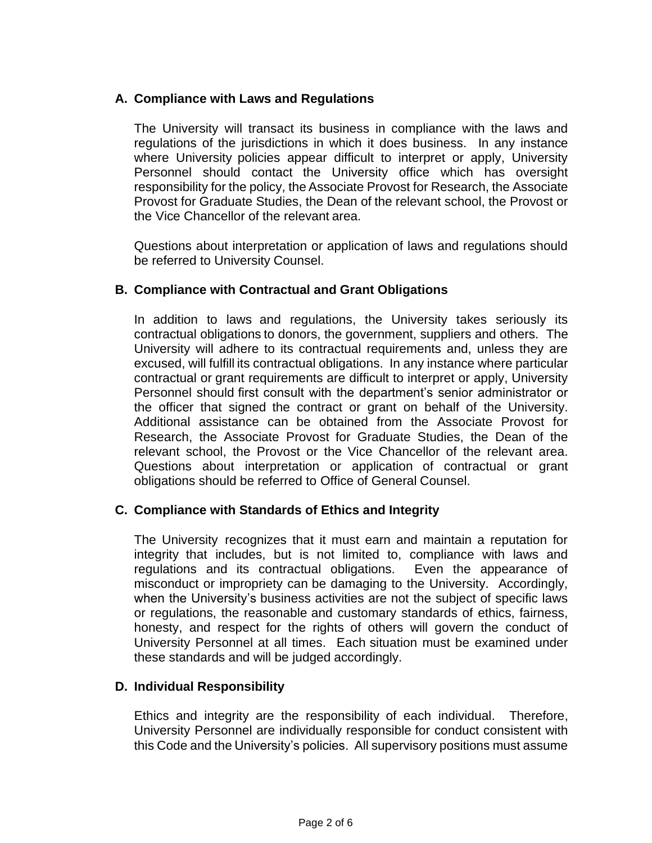### **A. Compliance with Laws and Regulations**

The University will transact its business in compliance with the laws and regulations of the jurisdictions in which it does business. In any instance where University policies appear difficult to interpret or apply, University Personnel should contact the University office which has oversight responsibility for the policy, the Associate Provost for Research, the Associate Provost for Graduate Studies, the Dean of the relevant school, the Provost or the Vice Chancellor of the relevant area.

Questions about interpretation or application of laws and regulations should be referred to University Counsel.

### **B. Compliance with Contractual and Grant Obligations**

In addition to laws and regulations, the University takes seriously its contractual obligations to donors, the government, suppliers and others. The University will adhere to its contractual requirements and, unless they are excused, will fulfill its contractual obligations. In any instance where particular contractual or grant requirements are difficult to interpret or apply, University Personnel should first consult with the department's senior administrator or the officer that signed the contract or grant on behalf of the University. Additional assistance can be obtained from the Associate Provost for Research, the Associate Provost for Graduate Studies, the Dean of the relevant school, the Provost or the Vice Chancellor of the relevant area. Questions about interpretation or application of contractual or grant obligations should be referred to Office of General Counsel.

#### **C. Compliance with Standards of Ethics and Integrity**

The University recognizes that it must earn and maintain a reputation for integrity that includes, but is not limited to, compliance with laws and regulations and its contractual obligations. Even the appearance of misconduct or impropriety can be damaging to the University. Accordingly, when the University's business activities are not the subject of specific laws or regulations, the reasonable and customary standards of ethics, fairness, honesty, and respect for the rights of others will govern the conduct of University Personnel at all times. Each situation must be examined under these standards and will be judged accordingly.

#### **D. Individual Responsibility**

Ethics and integrity are the responsibility of each individual. Therefore, University Personnel are individually responsible for conduct consistent with this Code and the University's policies. All supervisory positions must assume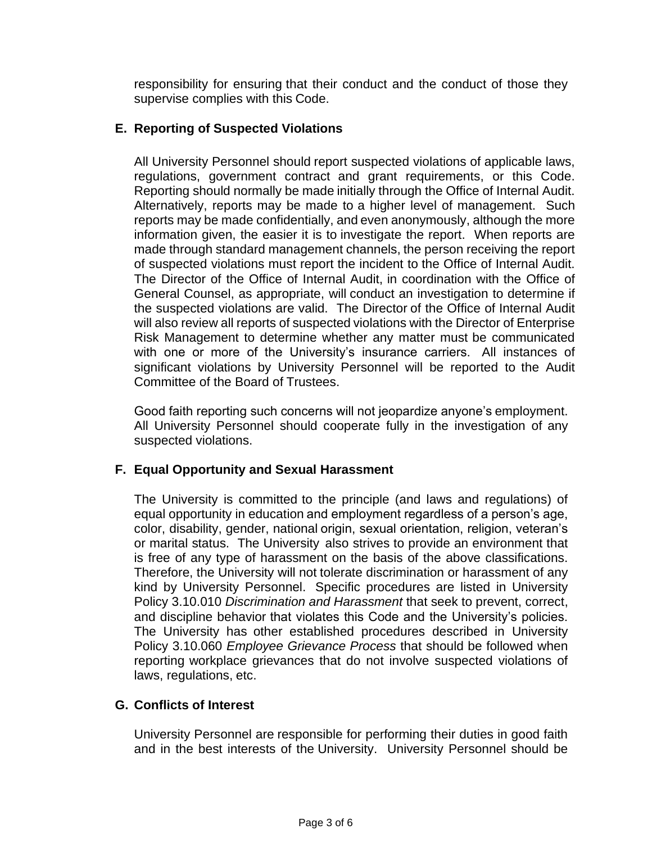responsibility for ensuring that their conduct and the conduct of those they supervise complies with this Code.

# **E. Reporting of Suspected Violations**

All University Personnel should report suspected violations of applicable laws, regulations, government contract and grant requirements, or this Code. Reporting should normally be made initially through the Office of Internal Audit. Alternatively, reports may be made to a higher level of management. Such reports may be made confidentially, and even anonymously, although the more information given, the easier it is to investigate the report. When reports are made through standard management channels, the person receiving the report of suspected violations must report the incident to the Office of Internal Audit. The Director of the Office of Internal Audit, in coordination with the Office of General Counsel, as appropriate, will conduct an investigation to determine if the suspected violations are valid. The Director of the Office of Internal Audit will also review all reports of suspected violations with the Director of Enterprise Risk Management to determine whether any matter must be communicated with one or more of the University's insurance carriers. All instances of significant violations by University Personnel will be reported to the Audit Committee of the Board of Trustees.

Good faith reporting such concerns will not jeopardize anyone's employment. All University Personnel should cooperate fully in the investigation of any suspected violations.

# **F. Equal Opportunity and Sexual Harassment**

The University is committed to the principle (and laws and regulations) of equal opportunity in education and employment regardless of a person's age, color, disability, gender, national origin, sexual orientation, religion, veteran's or marital status. The University also strives to provide an environment that is free of any type of harassment on the basis of the above classifications. Therefore, the University will not tolerate discrimination or harassment of any kind by University Personnel. Specific procedures are listed in University Policy 3.10.010 *Discrimination and Harassment* that seek to prevent, correct, and discipline behavior that violates this Code and the University's policies. The University has other established procedures described in University Policy 3.10.060 *Employee Grievance Process* that should be followed when reporting workplace grievances that do not involve suspected violations of laws, regulations, etc.

### **G. Conflicts of Interest**

University Personnel are responsible for performing their duties in good faith and in the best interests of the University. University Personnel should be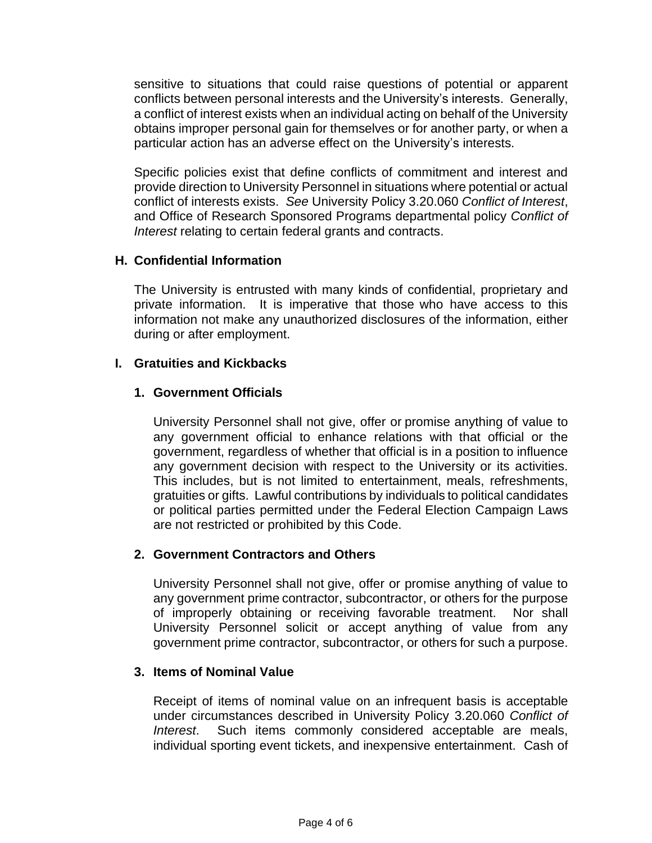sensitive to situations that could raise questions of potential or apparent conflicts between personal interests and the University's interests. Generally, a conflict of interest exists when an individual acting on behalf of the University obtains improper personal gain for themselves or for another party, or when a particular action has an adverse effect on the University's interests.

Specific policies exist that define conflicts of commitment and interest and provide direction to University Personnel in situations where potential or actual conflict of interests exists. *See* University Policy 3.20.060 *Conflict of Interest*, and Office of Research Sponsored Programs departmental policy *Conflict of Interest* relating to certain federal grants and contracts.

### **H. Confidential Information**

The University is entrusted with many kinds of confidential, proprietary and private information. It is imperative that those who have access to this information not make any unauthorized disclosures of the information, either during or after employment.

### **I. Gratuities and Kickbacks**

# **1. Government Officials**

University Personnel shall not give, offer or promise anything of value to any government official to enhance relations with that official or the government, regardless of whether that official is in a position to influence any government decision with respect to the University or its activities. This includes, but is not limited to entertainment, meals, refreshments, gratuities or gifts. Lawful contributions by individuals to political candidates or political parties permitted under the Federal Election Campaign Laws are not restricted or prohibited by this Code.

### **2. Government Contractors and Others**

University Personnel shall not give, offer or promise anything of value to any government prime contractor, subcontractor, or others for the purpose of improperly obtaining or receiving favorable treatment. Nor shall University Personnel solicit or accept anything of value from any government prime contractor, subcontractor, or others for such a purpose.

### **3. Items of Nominal Value**

Receipt of items of nominal value on an infrequent basis is acceptable under circumstances described in University Policy 3.20.060 *Conflict of Interest*. Such items commonly considered acceptable are meals, individual sporting event tickets, and inexpensive entertainment. Cash of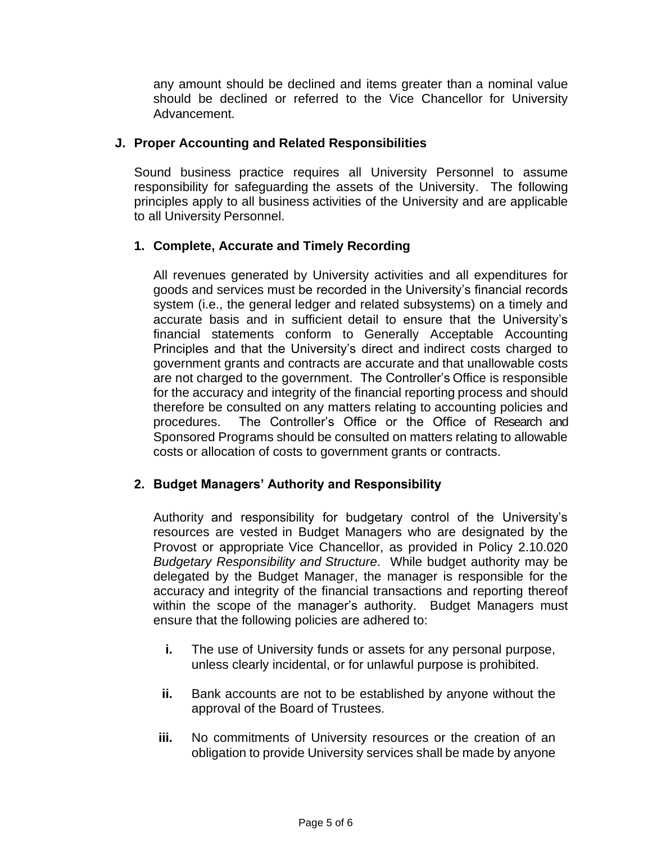any amount should be declined and items greater than a nominal value should be declined or referred to the Vice Chancellor for University Advancement.

### **J. Proper Accounting and Related Responsibilities**

Sound business practice requires all University Personnel to assume responsibility for safeguarding the assets of the University. The following principles apply to all business activities of the University and are applicable to all University Personnel.

# **1. Complete, Accurate and Timely Recording**

All revenues generated by University activities and all expenditures for goods and services must be recorded in the University's financial records system (i.e., the general ledger and related subsystems) on a timely and accurate basis and in sufficient detail to ensure that the University's financial statements conform to Generally Acceptable Accounting Principles and that the University's direct and indirect costs charged to government grants and contracts are accurate and that unallowable costs are not charged to the government. The Controller's Office is responsible for the accuracy and integrity of the financial reporting process and should therefore be consulted on any matters relating to accounting policies and procedures. The Controller's Office or the Office of Research and Sponsored Programs should be consulted on matters relating to allowable costs or allocation of costs to government grants or contracts.

### **2. Budget Managers' Authority and Responsibility**

Authority and responsibility for budgetary control of the University's resources are vested in Budget Managers who are designated by the Provost or appropriate Vice Chancellor, as provided in Policy 2.10.020 *Budgetary Responsibility and Structure*. While budget authority may be delegated by the Budget Manager, the manager is responsible for the accuracy and integrity of the financial transactions and reporting thereof within the scope of the manager's authority. Budget Managers must ensure that the following policies are adhered to:

- **i.** The use of University funds or assets for any personal purpose, unless clearly incidental, or for unlawful purpose is prohibited.
- **ii.** Bank accounts are not to be established by anyone without the approval of the Board of Trustees.
- **iii.** No commitments of University resources or the creation of an obligation to provide University services shall be made by anyone